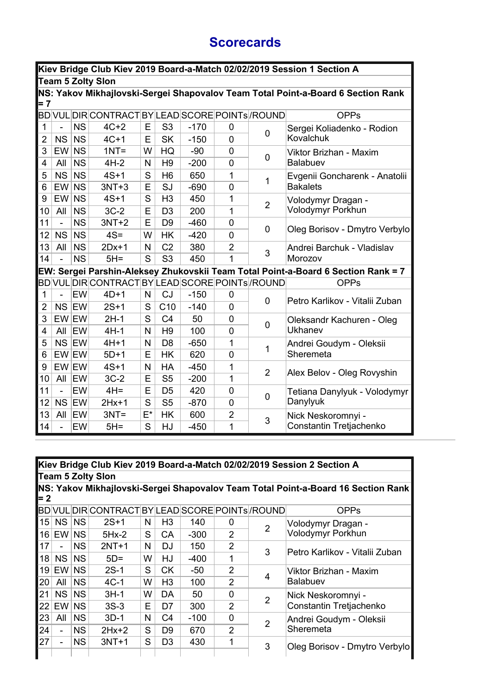## **Scorecards**

|                     |                 |                        |                                                 |        |                             |                  |                     |                | Kiev Bridge Club Kiev 2019 Board-a-Match 02/02/2019 Session 1 Section A           |
|---------------------|-----------------|------------------------|-------------------------------------------------|--------|-----------------------------|------------------|---------------------|----------------|-----------------------------------------------------------------------------------|
|                     |                 |                        | <b>Team 5 Zolty Slon</b>                        |        |                             |                  |                     |                |                                                                                   |
| $= 7$               |                 |                        |                                                 |        |                             |                  |                     |                | NS: Yakov Mikhajlovski-Sergei Shapovalov Team Total Point-a-Board 6 Section Rank  |
|                     |                 |                        | BD VUL DIR CONTRACT BY LEAD SCORE POINTs /ROUND |        |                             |                  |                     |                | <b>OPPs</b>                                                                       |
| 1<br>$\overline{2}$ | ÷,<br><b>NS</b> | <b>NS</b><br><b>NS</b> | $4C+2$<br>$4C+1$                                | E<br>E | S <sub>3</sub><br><b>SK</b> | $-170$<br>$-150$ | 0<br>$\overline{0}$ | 0              | Sergei Koliadenko - Rodion<br>Kovalchuk                                           |
| 3                   | EW              | <b>NS</b>              | $1NT =$                                         | W      | HQ                          | $-90$            | 0                   |                | Viktor Brizhan - Maxim                                                            |
| 4                   | All             | <b>NS</b>              | $4H-2$                                          | N      | H <sub>9</sub>              | $-200$           | $\mathbf 0$         | 0              | <b>Balabuev</b>                                                                   |
| 5                   | <b>NS</b>       | <b>NS</b>              | $4S+1$                                          | S      | H <sub>6</sub>              | 650              | 1                   | 1              | Evgenii Goncharenk - Anatolii                                                     |
| 6                   | EW              | <b>NS</b>              | $3NT+3$                                         | E      | SJ                          | $-690$           | 0                   |                | <b>Bakalets</b>                                                                   |
| 9                   | EW              | <b>NS</b>              | $4S+1$                                          | S      | H <sub>3</sub>              | 450              | 1                   | $\overline{2}$ | Volodymyr Dragan -                                                                |
| 10                  | All             | <b>NS</b>              | $3C-2$                                          | Е      | D <sub>3</sub>              | 200              | 1                   |                | Volodymyr Porkhun                                                                 |
| 11                  | ÷,              | <b>NS</b>              | $3NT+2$                                         | E      | D <sub>9</sub>              | $-460$           | $\mathbf 0$         | $\mathbf 0$    | Oleg Borisov - Dmytro Verbylo                                                     |
| 12                  | NS              | <b>NS</b>              | $4S =$                                          | W      | <b>HK</b>                   | $-420$           | $\overline{0}$      |                |                                                                                   |
| 13                  | All             | <b>NS</b>              | $2Dx+1$                                         | N      | C <sub>2</sub>              | 380              | $\overline{2}$      | 3              | Andrei Barchuk - Vladislav                                                        |
| 14                  | $\overline{a}$  | <b>NS</b>              | $5H =$                                          | S      | S <sub>3</sub>              | 450              | 1                   |                | Morozov                                                                           |
|                     |                 |                        |                                                 |        |                             |                  |                     |                | EW: Sergei Parshin-Aleksey Zhukovskii Team Total Point-a-Board 6 Section Rank = 7 |
|                     |                 |                        | BD VUL DIR CONTRACT BY LEAD SCORE POINTs /ROUND |        |                             |                  |                     |                | <b>OPPs</b>                                                                       |
| $\mathbf{1}$        | $\overline{a}$  | EW                     | $4D+1$                                          | N      | CJ                          | $-150$           | $\overline{0}$      | 0              | Petro Karlikov - Vitalii Zuban                                                    |
| $\overline{2}$      | NS EW           |                        | $2S+1$                                          | S      | C10                         | $-140$           | 0                   |                |                                                                                   |
| 3                   | EW EW           |                        | $2H-1$                                          | S      | C <sub>4</sub>              | 50               | 0                   | 0              | Oleksandr Kachuren - Oleg                                                         |
| 4                   | All             | EW                     | $4H-1$                                          | N      | H <sub>9</sub>              | 100              | 0                   |                | Ukhanev                                                                           |
| 5                   | NS EW           |                        | $4H+1$                                          | N      | D <sub>8</sub>              | $-650$           | 1                   | 1              | Andrei Goudym - Oleksii                                                           |
| 6                   | EW EW           |                        | $5D+1$                                          | E      | <b>HK</b>                   | 620              | $\overline{0}$      |                | Sheremeta                                                                         |
| 9                   | EW EW           |                        | $4S+1$                                          | N      | HA                          | $-450$           | 1                   | $\overline{2}$ | Alex Belov - Oleg Rovyshin                                                        |
| 10                  | All             | ∣EW                    | $3C-2$                                          | E      | S <sub>5</sub>              | $-200$           | 1                   |                |                                                                                   |
| 11                  | $\overline{a}$  | EW                     | $4H =$                                          | E      | D <sub>5</sub>              | 420              | $\overline{0}$      | $\mathbf 0$    | Tetiana Danylyuk - Volodymyr                                                      |
| 12                  | NS EW           |                        | $2Hx+1$                                         | S      | S <sub>5</sub>              | $-870$           | 0                   |                | Danylyuk                                                                          |
| 13                  | All             | ∣EW                    | $3NT =$                                         | $E^*$  | <b>HK</b>                   | 600              | $\overline{2}$      | 3              | Nick Neskoromnyi -                                                                |
| 14                  | ÷,              | EW                     | $5H =$                                          | S      | HJ                          | $-450$           | 1                   |                | Constantin Tretjachenko                                                           |

|     |                          |           |                                                 |   |                |        |                |   | Kiev Bridge Club Kiev 2019 Board-a-Match 02/02/2019 Session 2 Section A           |
|-----|--------------------------|-----------|-------------------------------------------------|---|----------------|--------|----------------|---|-----------------------------------------------------------------------------------|
|     |                          |           | <b>Team 5 Zolty Slon</b>                        |   |                |        |                |   |                                                                                   |
|     |                          |           |                                                 |   |                |        |                |   | NS: Yakov Mikhajlovski-Sergei Shapovalov Team Total Point-a-Board 16 Section Rank |
| = 2 |                          |           |                                                 |   |                |        |                |   |                                                                                   |
|     |                          |           | BD VUL DIR CONTRACT BY LEAD SCORE POINTs /ROUND |   |                |        |                |   | <b>OPPs</b>                                                                       |
| 15  | <b>NS</b>                | NS        | $2S+1$                                          | N | H <sub>3</sub> | 140    | $\Omega$       | 2 | Volodymyr Dragan -                                                                |
|     | $16$ EW NS               |           | $5Hx-2$                                         | S | <b>CA</b>      | $-300$ | $\overline{2}$ |   | Volodymyr Porkhun                                                                 |
| 17  |                          | <b>NS</b> | $2NT+1$                                         | N | DJ             | 150    | $\overline{2}$ | 3 |                                                                                   |
| 18  | <b>NS</b>                | <b>NS</b> | $5D=$                                           | W | HJ             | $-400$ | 1              |   | Petro Karlikov - Vitalii Zuban                                                    |
| 19  | EW                       | <b>NS</b> | $2S-1$                                          | S | <b>CK</b>      | -50    | 2              |   | Viktor Brizhan - Maxim                                                            |
| 20  | All                      | <b>NS</b> | $4C-1$                                          | W | H <sub>3</sub> | 100    | $\overline{2}$ | 4 | <b>Balabuev</b>                                                                   |
| 21  | <b>NS</b>                | <b>NS</b> | $3H-1$                                          | W | DA             | 50     | $\Omega$       | 2 | Nick Neskoromnyi -                                                                |
| 22  | EW NS                    |           | $3S-3$                                          | E | D7             | 300    | 2              |   | Constantin Tretjachenko                                                           |
| 23  | All                      | <b>NS</b> | $3D-1$                                          | N | C <sub>4</sub> | $-100$ | $\Omega$       | 2 | Andrei Goudym - Oleksii                                                           |
| 24  | $\blacksquare$           | <b>NS</b> | $2Hx+2$                                         | S | D9             | 670    | $\mathcal{P}$  |   | Sheremeta                                                                         |
| 27  | $\overline{\phantom{a}}$ | <b>NS</b> | $3NT+1$                                         | S | D <sub>3</sub> | 430    | 1              | 3 | Oleg Borisov - Dmytro Verbylo                                                     |
|     |                          |           |                                                 |   |                |        |                |   |                                                                                   |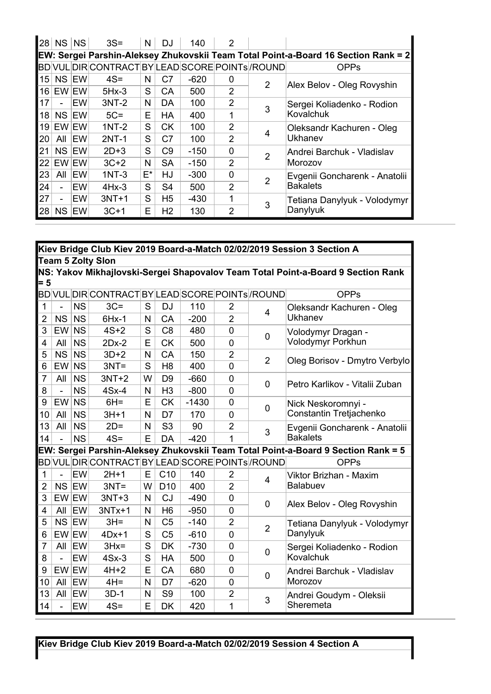| 28 | NS        | <b>NS</b> | $3S =$                                           | N     | DJ.            | 140    | $\overline{2}$ |                |                                                                                    |
|----|-----------|-----------|--------------------------------------------------|-------|----------------|--------|----------------|----------------|------------------------------------------------------------------------------------|
|    |           |           |                                                  |       |                |        |                |                | EW: Sergei Parshin-Aleksey Zhukovskii Team Total Point-a-Board 16 Section Rank = 2 |
|    |           |           | BD VUL DIR CONTRACT BY LEAD SCORE POINTS / ROUND |       |                |        |                |                | <b>OPPs</b>                                                                        |
| 15 | NS EW     |           | $4S =$                                           | N     | C7             | $-620$ | 0              | 2              | Alex Belov - Oleg Rovyshin                                                         |
| 16 | EW EW     |           | $5Hx-3$                                          | S     | <b>CA</b>      | 500    | $\overline{2}$ |                |                                                                                    |
| 17 | ÷.        | EW        | $3NT-2$                                          | N     | DA             | 100    | $\overline{2}$ | 3              | Sergei Koliadenko - Rodion                                                         |
| 18 | NS EW     |           | $5C =$                                           | E     | <b>HA</b>      | 400    | 1              |                | Kovalchuk                                                                          |
| 19 | EW EW     |           | $1NT-2$                                          | S     | <b>CK</b>      | 100    | $\overline{2}$ |                | Oleksandr Kachuren - Oleg                                                          |
| 20 |           | AII EW    | $2NT-1$                                          | S     | C <sub>7</sub> | 100    | $\overline{2}$ | 4              | Ukhanev                                                                            |
| 21 | NS EW     |           | $2D+3$                                           | S     | C <sub>9</sub> | $-150$ | 0              | $\overline{2}$ | Andrei Barchuk - Vladislav                                                         |
| 22 | EW EW     |           | $3C+2$                                           | N     | <b>SA</b>      | $-150$ | $\overline{2}$ |                | Morozov                                                                            |
| 23 | All       | EW        | $1NT-3$                                          | $E^*$ | <b>HJ</b>      | $-300$ | $\mathbf 0$    | 2              | Evgenii Goncharenk - Anatolii                                                      |
| 24 |           | EW        | $4Hx-3$                                          | S     | S <sub>4</sub> | 500    | 2              |                | <b>Bakalets</b>                                                                    |
| 27 | ÷.        | EW        | $3NT+1$                                          | S     | H <sub>5</sub> | -430   | 1              | 3              | Tetiana Danylyuk - Volodymyr                                                       |
| 28 | <b>NS</b> | EW        | $3C+1$                                           | E     | H <sub>2</sub> | 130    | $\overline{2}$ |                | Danylyuk                                                                           |

|                |                |           |                                                  |   |                 |         |                |                | Kiev Bridge Club Kiev 2019 Board-a-Match 02/02/2019 Session 3 Section A           |
|----------------|----------------|-----------|--------------------------------------------------|---|-----------------|---------|----------------|----------------|-----------------------------------------------------------------------------------|
|                |                |           | <b>Team 5 Zolty Slon</b>                         |   |                 |         |                |                |                                                                                   |
|                |                |           |                                                  |   |                 |         |                |                | NS: Yakov Mikhajlovski-Sergei Shapovalov Team Total Point-a-Board 9 Section Rank  |
| $= 5$          |                |           |                                                  |   |                 |         |                |                |                                                                                   |
|                |                |           | BD VUL DIR CONTRACT BY LEAD SCORE POINTs /ROUND  |   |                 |         |                |                | <b>OPPs</b>                                                                       |
| $\mathbf{1}$   | ÷,             | <b>NS</b> | $3C =$                                           | S | <b>DJ</b>       | 110     | $\overline{2}$ | 4              | Oleksandr Kachuren - Oleg                                                         |
| $\overline{2}$ | <b>NS</b>      | <b>NS</b> | $6Hx-1$                                          | N | CA              | $-200$  | $\overline{2}$ |                | Ukhanev                                                                           |
| 3              | <b>EW</b>      | <b>NS</b> | $4S+2$                                           | S | C <sub>8</sub>  | 480     | $\mathbf 0$    | 0              | Volodymyr Dragan -                                                                |
| 4              | All            | <b>NS</b> | $2Dx-2$                                          | E | <b>CK</b>       | 500     | $\overline{0}$ |                | Volodymyr Porkhun                                                                 |
| 5              | <b>NS</b>      | <b>NS</b> | $3D+2$                                           | N | CA              | 150     | $\overline{2}$ | $\overline{2}$ | Oleg Borisov - Dmytro Verbylo                                                     |
| 6              | EW             | <b>NS</b> | $3NT =$                                          | S | H <sub>8</sub>  | 400     | $\overline{0}$ |                |                                                                                   |
| 7              | All            | <b>NS</b> | $3NT+2$                                          | W | D <sub>9</sub>  | $-660$  | $\overline{0}$ | 0              | Petro Karlikov - Vitalii Zuban                                                    |
| 8              | $\overline{a}$ | <b>NS</b> | $4Sx-4$                                          | N | H <sub>3</sub>  | $-800$  | $\overline{0}$ |                |                                                                                   |
| 9              | EW             | <b>NS</b> | $6H =$                                           | E | <b>CK</b>       | $-1430$ | $\overline{0}$ | 0              | Nick Neskoromnyi -                                                                |
| 10             | All            | <b>NS</b> | $3H+1$                                           | N | D7              | 170     | $\Omega$       |                | Constantin Tretjachenko                                                           |
| 13             | All            | <b>NS</b> | $2D =$                                           | N | S <sub>3</sub>  | 90      | $\overline{2}$ | 3              | Evgenii Goncharenk - Anatolii                                                     |
| 14             |                | <b>NS</b> | $4S =$                                           | E | DA              | $-420$  | 1              |                | <b>Bakalets</b>                                                                   |
|                |                |           |                                                  |   |                 |         |                |                | EW: Sergei Parshin-Aleksey Zhukovskii Team Total Point-a-Board 9 Section Rank = 5 |
|                |                |           | BD VUL DIR CONTRACT BY LEAD SCORE POINTS / ROUND |   |                 |         |                |                | <b>OPPs</b>                                                                       |
| 1              | ÷,             | EW        | $2H+1$                                           | E | C10             | 140     | $\overline{2}$ | 4              | Viktor Brizhan - Maxim                                                            |
| $\overline{2}$ | NS             | EW        | $3NT =$                                          | W | D <sub>10</sub> | 400     | $\overline{2}$ |                | Balabuev                                                                          |
| 3              | EW EW          |           | $3NT+3$                                          | N | <b>CJ</b>       | $-490$  | $\overline{0}$ | 0              | Alex Belov - Oleg Rovyshin                                                        |
| 4              | All            | EW        | $3NTx+1$                                         | N | H <sub>6</sub>  | $-950$  | $\overline{0}$ |                |                                                                                   |
| 5              | NS             | EW        | $3H =$                                           | N | C <sub>5</sub>  | $-140$  | $\overline{2}$ | $\overline{2}$ | Tetiana Danylyuk - Volodymyr                                                      |
| 6              | EW EW          |           | $4Dx+1$                                          | S | C <sub>5</sub>  | $-610$  | $\overline{0}$ |                | Danylyuk                                                                          |
| 7              | All            | EW        | $3Hx =$                                          | S | <b>DK</b>       | $-730$  | $\overline{0}$ | 0              | Sergei Koliadenko - Rodion                                                        |
| 8              |                | EW        | $4Sx-3$                                          | S | HA              | 500     | 0              |                | Kovalchuk                                                                         |
| 9              | EW EW          |           | $4H+2$                                           | E | CA              | 680     | $\overline{0}$ | 0              | Andrei Barchuk - Vladislav                                                        |
| 10             | All            | EW        | $4H =$                                           | N | D <sub>7</sub>  | $-620$  | $\overline{0}$ |                | Morozov                                                                           |
| 13             | All            | EW        | $3D-1$                                           | N | S <sub>9</sub>  | 100     | $\overline{2}$ | 3              | Andrei Goudym - Oleksii                                                           |
| 14             |                | EW        | $4S =$                                           | E | <b>DK</b>       | 420     | 1              |                | Sheremeta                                                                         |

**Kiev Bridge Club Kiev 2019 Board-a-Match 02/02/2019 Session 4 Section A**